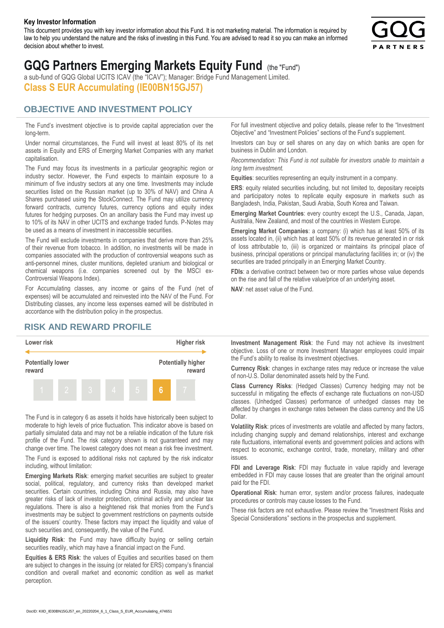#### **Key Investor Information**

This document provides you with key investor information about this Fund. It is not marketing material. The information is required by law to help you understand the nature and the risks of investing in this Fund. You are advised to read it so you can make an informed decision about whether to invest.



# **GQG Partners Emerging Markets Equity Fund** (the "Fund")

a sub-fund of GQG Global UCITS ICAV (the "ICAV"); Manager: Bridge Fund Management Limited. **Class S EUR Accumulating (IE00BN15GJ57)**

### **OBJECTIVE AND INVESTMENT POLICY**

The Fund's investment objective is to provide capital appreciation over the long-term.

Under normal circumstances, the Fund will invest at least 80% of its net assets in Equity and ERS of Emerging Market Companies with any market capitalisation.

The Fund may focus its investments in a particular geographic region or industry sector. However, the Fund expects to maintain exposure to a minimum of five industry sectors at any one time. Investments may include securities listed on the Russian market (up to 30% of NAV) and China A Shares purchased using the StockConnect. The Fund may utilize currency forward contracts, currency futures, currency options and equity index futures for hedging purposes. On an ancillary basis the Fund may invest up to 10% of its NAV in other UCITS and exchange traded funds. P-Notes may be used as a means of investment in inaccessible securities.

The Fund will exclude investments in companies that derive more than 25% of their revenue from tobacco. In addition, no investments will be made in companies associated with the production of controversial weapons such as anti-personnel mines, cluster munitions, depleted uranium and biological or chemical weapons (i.e. companies screened out by the MSCI ex-Controversial Weapons Index).

For Accumulating classes, any income or gains of the Fund (net of expenses) will be accumulated and reinvested into the NAV of the Fund. For Distributing classes, any income less expenses earned will be distributed in accordance with the distribution policy in the prospectus.

## **RISK AND REWARD PROFILE**



The Fund is in category 6 as assets it holds have historically been subject to moderate to high levels of price fluctuation. This indicator above is based on partially simulated data and may not be a reliable indication of the future risk profile of the Fund. The risk category shown is not guaranteed and may change over time. The lowest category does not mean a risk free investment.

The Fund is exposed to additional risks not captured by the risk indicator including, without limitation:

**Emerging Markets Risk**: emerging market securities are subject to greater social, political, regulatory, and currency risks than developed market securities. Certain countries, including China and Russia, may also have greater risks of lack of investor protection, criminal activity and unclear tax regulations. There is also a heightened risk that monies from the Fund's investments may be subject to government restrictions on payments outside of the issuers' country. These factors may impact the liquidity and value of such securities and, consequently, the value of the Fund.

**Liquidity Risk**: the Fund may have difficulty buying or selling certain securities readily, which may have a financial impact on the Fund.

**Equities & ERS Risk**: the values of Equities and securities based on them are subject to changes in the issuing (or related for ERS) company's financial condition and overall market and economic condition as well as market perception.

For full investment objective and policy details, please refer to the "Investment Objective" and "Investment Policies" sections of the Fund's supplement.

Investors can buy or sell shares on any day on which banks are open for business in Dublin and London.

*Recommendation: This Fund is not suitable for investors unable to maintain a long term investment.*

**Equities**: securities representing an equity instrument in a company.

**ERS:** equity related securities including, but not limited to, depositary receipts and participatory notes to replicate equity exposure in markets such as Bangladesh, India, Pakistan, Saudi Arabia, South Korea and Taiwan.

**Emerging Market Countries**: every country except the U.S., Canada, Japan, Australia, New Zealand, and most of the countries in Western Europe.

**Emerging Market Companies**: a company: (i) which has at least 50% of its assets located in, (ii) which has at least 50% of its revenue generated in or risk of loss attributable to, (iii) is organized or maintains its principal place of business, principal operations or principal manufacturing facilities in; or (iv) the securities are traded principally in an Emerging Market Country.

**FDIs**: a derivative contract between two or more parties whose value depends on the rise and fall of the relative value/price of an underlying asset.

**NAV**: net asset value of the Fund.

**Investment Management Risk**: the Fund may not achieve its investment objective. Loss of one or more Investment Manager employees could impair the Fund's ability to realise its investment objectives.

**Currency Risk**: changes in exchange rates may reduce or increase the value of non-U.S. Dollar denominated assets held by the Fund.

**Class Currency Risks**: (Hedged Classes) Currency hedging may not be successful in mitigating the effects of exchange rate fluctuations on non-USD classes. (Unhedged Classes) performance of unhedged classes may be affected by changes in exchange rates between the class currency and the US Dollar.

**Volatility Risk**: prices of investments are volatile and affected by many factors, including changing supply and demand relationships, interest and exchange rate fluctuations, international events and government policies and actions with respect to economic, exchange control, trade, monetary, military and other issues.

**FDI and Leverage Risk**: FDI may fluctuate in value rapidly and leverage embedded in FDI may cause losses that are greater than the original amount paid for the FDI.

**Operational Risk**: human error, system and/or process failures, inadequate procedures or controls may cause losses to the Fund.

These risk factors are not exhaustive. Please review the "Investment Risks and Special Considerations" sections in the prospectus and supplement.